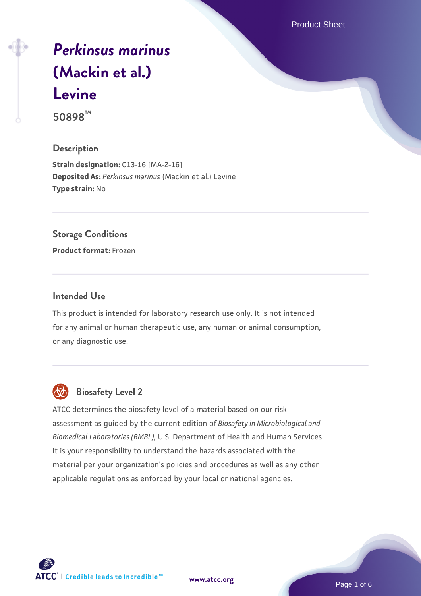Product Sheet

# *[Perkinsus marinus](https://www.atcc.org/products/50898)* **[\(Mackin et al.\)](https://www.atcc.org/products/50898) [Levine](https://www.atcc.org/products/50898)**

**50898™**

# **Description**

**Strain designation: C13-16 [MA-2-16] Deposited As:** *Perkinsus marinus* (Mackin et al.) Levine **Type strain:** No

# **Storage Conditions**

**Product format:** Frozen

# **Intended Use**

This product is intended for laboratory research use only. It is not intended for any animal or human therapeutic use, any human or animal consumption, or any diagnostic use.



# **Biosafety Level 2**

ATCC determines the biosafety level of a material based on our risk assessment as guided by the current edition of *Biosafety in Microbiological and Biomedical Laboratories (BMBL)*, U.S. Department of Health and Human Services. It is your responsibility to understand the hazards associated with the material per your organization's policies and procedures as well as any other applicable regulations as enforced by your local or national agencies.

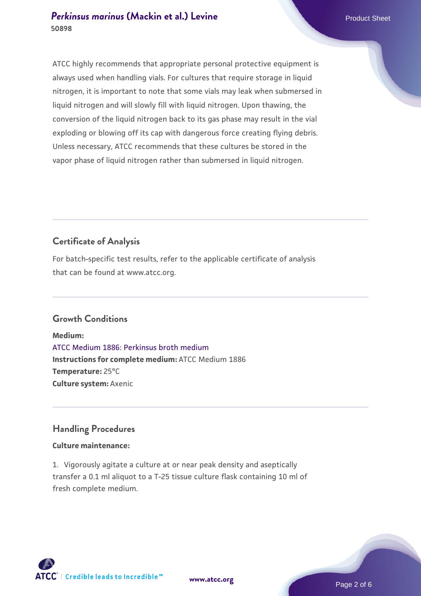# **[Perkinsus marinus](https://www.atcc.org/products/50898) [\(Mackin et al.\) Levine](https://www.atcc.org/products/50898)** Product Sheet **50898**

ATCC highly recommends that appropriate personal protective equipment is always used when handling vials. For cultures that require storage in liquid nitrogen, it is important to note that some vials may leak when submersed in liquid nitrogen and will slowly fill with liquid nitrogen. Upon thawing, the conversion of the liquid nitrogen back to its gas phase may result in the vial exploding or blowing off its cap with dangerous force creating flying debris. Unless necessary, ATCC recommends that these cultures be stored in the vapor phase of liquid nitrogen rather than submersed in liquid nitrogen.

# **Certificate of Analysis**

For batch-specific test results, refer to the applicable certificate of analysis that can be found at www.atcc.org.

# **Growth Conditions**

**Medium:**  [ATCC Medium 1886: Perkinsus broth medium](https://www.atcc.org/-/media/product-assets/documents/microbial-media-formulations/atcc-medium-1886.pdf?rev=3f191fd8ade443aca9e8e4826432baa3) **Instructions for complete medium:** ATCC Medium 1886 **Temperature:** 25°C **Culture system:** Axenic

# **Handling Procedures**

# **Culture maintenance:**

1. Vigorously agitate a culture at or near peak density and aseptically transfer a 0.1 ml aliquot to a T-25 tissue culture flask containing 10 ml of fresh complete medium.

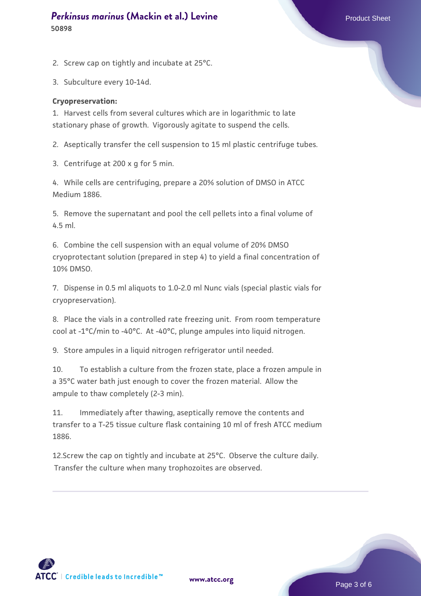# **[Perkinsus marinus](https://www.atcc.org/products/50898) [\(Mackin et al.\) Levine](https://www.atcc.org/products/50898)** Product Sheet **50898**

2. Screw cap on tightly and incubate at 25°C.

3. Subculture every 10-14d.

### **Cryopreservation:**

1. Harvest cells from several cultures which are in logarithmic to late stationary phase of growth. Vigorously agitate to suspend the cells.

2. Aseptically transfer the cell suspension to 15 ml plastic centrifuge tubes.

3. Centrifuge at 200 x g for 5 min.

4. While cells are centrifuging, prepare a 20% solution of DMSO in ATCC Medium 1886.

5. Remove the supernatant and pool the cell pellets into a final volume of 4.5 ml.

6. Combine the cell suspension with an equal volume of 20% DMSO cryoprotectant solution (prepared in step 4) to yield a final concentration of 10% DMSO.

7. Dispense in 0.5 ml aliquots to 1.0-2.0 ml Nunc vials (special plastic vials for cryopreservation).

8. Place the vials in a controlled rate freezing unit. From room temperature cool at -1°C/min to -40°C. At -40°C, plunge ampules into liquid nitrogen.

9. Store ampules in a liquid nitrogen refrigerator until needed.

10. To establish a culture from the frozen state, place a frozen ampule in a 35°C water bath just enough to cover the frozen material. Allow the ampule to thaw completely (2-3 min).

11. Immediately after thawing, aseptically remove the contents and transfer to a T-25 tissue culture flask containing 10 ml of fresh ATCC medium 1886.

12.Screw the cap on tightly and incubate at 25°C. Observe the culture daily. Transfer the culture when many trophozoites are observed.

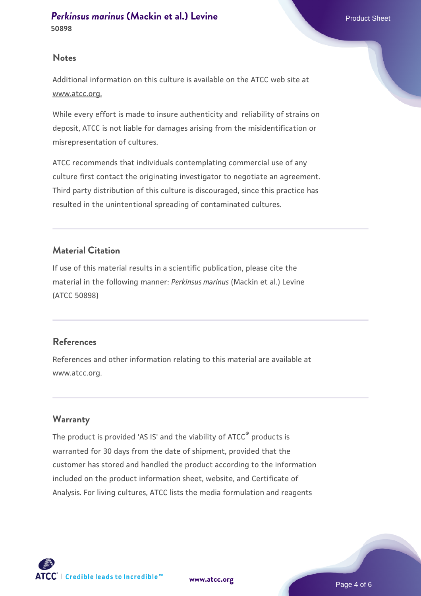# **Notes**

Additional information on this culture is available on the ATCC web site at www.atcc.org.

While every effort is made to insure authenticity and reliability of strains on deposit, ATCC is not liable for damages arising from the misidentification or misrepresentation of cultures.

ATCC recommends that individuals contemplating commercial use of any culture first contact the originating investigator to negotiate an agreement. Third party distribution of this culture is discouraged, since this practice has resulted in the unintentional spreading of contaminated cultures.

# **Material Citation**

If use of this material results in a scientific publication, please cite the material in the following manner: *Perkinsus marinus* (Mackin et al.) Levine (ATCC 50898)

# **References**

References and other information relating to this material are available at www.atcc.org.

# **Warranty**

The product is provided 'AS IS' and the viability of ATCC® products is warranted for 30 days from the date of shipment, provided that the customer has stored and handled the product according to the information included on the product information sheet, website, and Certificate of Analysis. For living cultures, ATCC lists the media formulation and reagents

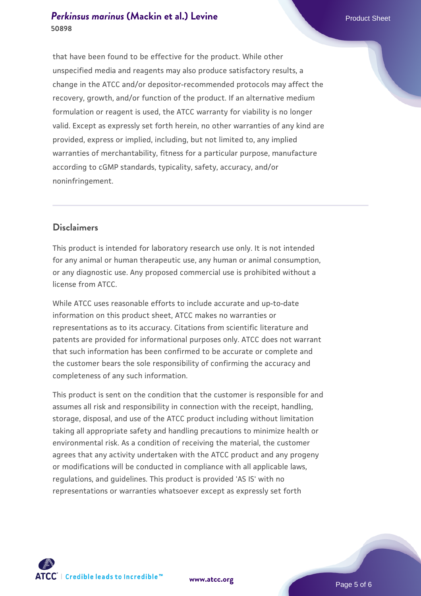# **[Perkinsus marinus](https://www.atcc.org/products/50898) [\(Mackin et al.\) Levine](https://www.atcc.org/products/50898)** Product Sheet **50898**

that have been found to be effective for the product. While other unspecified media and reagents may also produce satisfactory results, a change in the ATCC and/or depositor-recommended protocols may affect the recovery, growth, and/or function of the product. If an alternative medium formulation or reagent is used, the ATCC warranty for viability is no longer valid. Except as expressly set forth herein, no other warranties of any kind are provided, express or implied, including, but not limited to, any implied warranties of merchantability, fitness for a particular purpose, manufacture according to cGMP standards, typicality, safety, accuracy, and/or noninfringement.

# **Disclaimers**

This product is intended for laboratory research use only. It is not intended for any animal or human therapeutic use, any human or animal consumption, or any diagnostic use. Any proposed commercial use is prohibited without a license from ATCC.

While ATCC uses reasonable efforts to include accurate and up-to-date information on this product sheet, ATCC makes no warranties or representations as to its accuracy. Citations from scientific literature and patents are provided for informational purposes only. ATCC does not warrant that such information has been confirmed to be accurate or complete and the customer bears the sole responsibility of confirming the accuracy and completeness of any such information.

This product is sent on the condition that the customer is responsible for and assumes all risk and responsibility in connection with the receipt, handling, storage, disposal, and use of the ATCC product including without limitation taking all appropriate safety and handling precautions to minimize health or environmental risk. As a condition of receiving the material, the customer agrees that any activity undertaken with the ATCC product and any progeny or modifications will be conducted in compliance with all applicable laws, regulations, and guidelines. This product is provided 'AS IS' with no representations or warranties whatsoever except as expressly set forth



**[www.atcc.org](http://www.atcc.org)**

Page 5 of 6